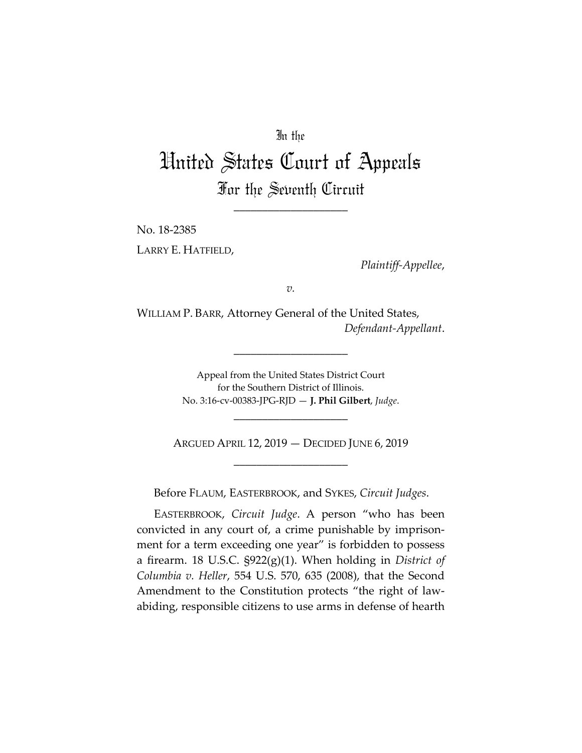## In the

## United States Court of Appeals For the Seventh Circuit

\_\_\_\_\_\_\_\_\_\_\_\_\_\_\_\_\_\_\_\_

No. 18‐2385 LARRY E. HATFIELD,

*Plaintiff‐Appellee*,

*v.*

WILLIAM P. BARR, Attorney General of the United States, *Defendant‐Appellant*.

\_\_\_\_\_\_\_\_\_\_\_\_\_\_\_\_\_\_\_\_

Appeal from the United States District Court for the Southern District of Illinois. No. 3:16‐cv‐00383‐JPG‐RJD — **J. Phil Gilbert**, *Judge*.

ARGUED APRIL 12, 2019 — DECIDED JUNE 6, 2019 \_\_\_\_\_\_\_\_\_\_\_\_\_\_\_\_\_\_\_\_

\_\_\_\_\_\_\_\_\_\_\_\_\_\_\_\_\_\_\_\_

Before FLAUM, EASTERBROOK, and SYKES, *Circuit Judges*.

EASTERBROOK, *Circuit Judge*. A person "who has been convicted in any court of, a crime punishable by imprison‐ ment for a term exceeding one year" is forbidden to possess a firearm. 18 U.S.C. §922(g)(1). When holding in *District of Columbia v. Heller*, 554 U.S. 570, 635 (2008), that the Second Amendment to the Constitution protects "the right of law‐ abiding, responsible citizens to use arms in defense of hearth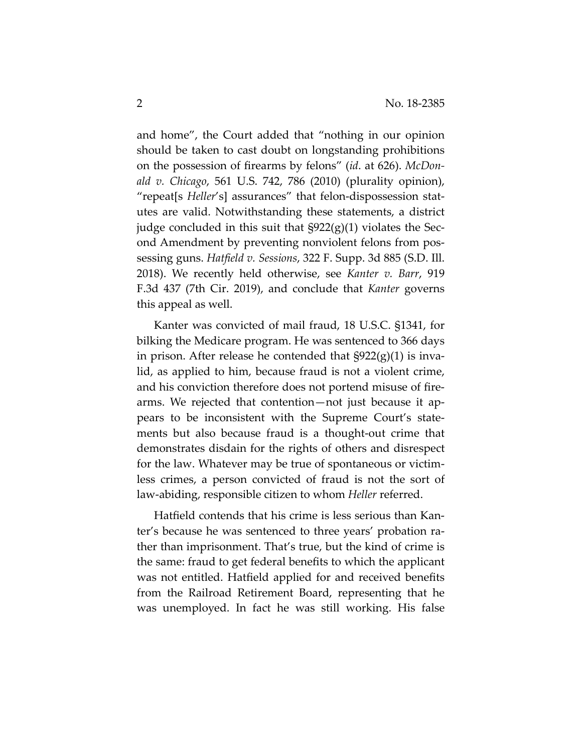and home", the Court added that "nothing in our opinion should be taken to cast doubt on longstanding prohibitions on the possession of firearms by felons" (*id*. at 626). *McDon‐ ald v. Chicago*, 561 U.S. 742, 786 (2010) (plurality opinion), "repeat[s *Heller*'s] assurances" that felon‐dispossession stat‐ utes are valid. Notwithstanding these statements, a district judge concluded in this suit that §922(g)(1) violates the Sec‐ ond Amendment by preventing nonviolent felons from pos‐ sessing guns. *Hatfield v. Sessions*, 322 F. Supp. 3d 885 (S.D. Ill. 2018). We recently held otherwise, see *Kanter v. Barr*, 919 F.3d 437 (7th Cir. 2019), and conclude that *Kanter* governs this appeal as well.

Kanter was convicted of mail fraud, 18 U.S.C. §1341, for bilking the Medicare program. He was sentenced to 366 days in prison. After release he contended that  $\S 922(g)(1)$  is invalid, as applied to him, because fraud is not a violent crime, and his conviction therefore does not portend misuse of fire‐ arms. We rejected that contention—not just because it ap‐ pears to be inconsistent with the Supreme Court's state‐ ments but also because fraud is a thought‐out crime that demonstrates disdain for the rights of others and disrespect for the law. Whatever may be true of spontaneous or victim‐ less crimes, a person convicted of fraud is not the sort of law‐abiding, responsible citizen to whom *Heller* referred.

Hatfield contends that his crime is less serious than Kan‐ ter's because he was sentenced to three years' probation ra‐ ther than imprisonment. That's true, but the kind of crime is the same: fraud to get federal benefits to which the applicant was not entitled. Hatfield applied for and received benefits from the Railroad Retirement Board, representing that he was unemployed. In fact he was still working. His false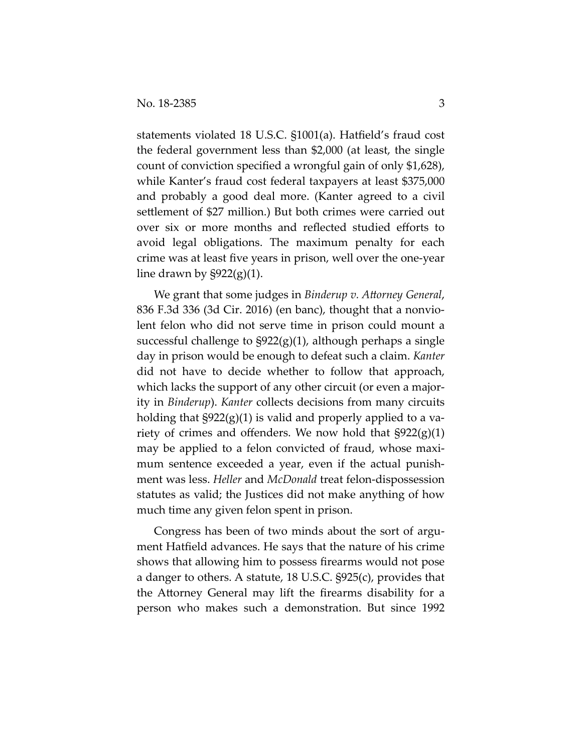statements violated 18 U.S.C. §1001(a). Hatfield's fraud cost the federal government less than \$2,000 (at least, the single count of conviction specified a wrongful gain of only \$1,628), while Kanter's fraud cost federal taxpayers at least \$375,000 and probably a good deal more. (Kanter agreed to a civil settlement of \$27 million.) But both crimes were carried out over six or more months and reflected studied efforts to avoid legal obligations. The maximum penalty for each crime was at least five years in prison, well over the one‐year line drawn by  $\S 922(g)(1)$ .

We grant that some judges in *Binderup v. Attorney General*, 836 F.3d 336 (3d Cir. 2016) (en banc), thought that a nonvio‐ lent felon who did not serve time in prison could mount a successful challenge to  $\S 922(g)(1)$ , although perhaps a single day in prison would be enough to defeat such a claim. *Kanter* did not have to decide whether to follow that approach, which lacks the support of any other circuit (or even a majority in *Binderup*). *Kanter* collects decisions from many circuits holding that  $\S 922(g)(1)$  is valid and properly applied to a variety of crimes and offenders. We now hold that  $\S 922(g)(1)$ may be applied to a felon convicted of fraud, whose maximum sentence exceeded a year, even if the actual punishment was less. *Heller* and *McDonald* treat felon‐dispossession statutes as valid; the Justices did not make anything of how much time any given felon spent in prison.

Congress has been of two minds about the sort of argument Hatfield advances. He says that the nature of his crime shows that allowing him to possess firearms would not pose a danger to others. A statute, 18 U.S.C. §925(c), provides that the Attorney General may lift the firearms disability for a person who makes such a demonstration. But since 1992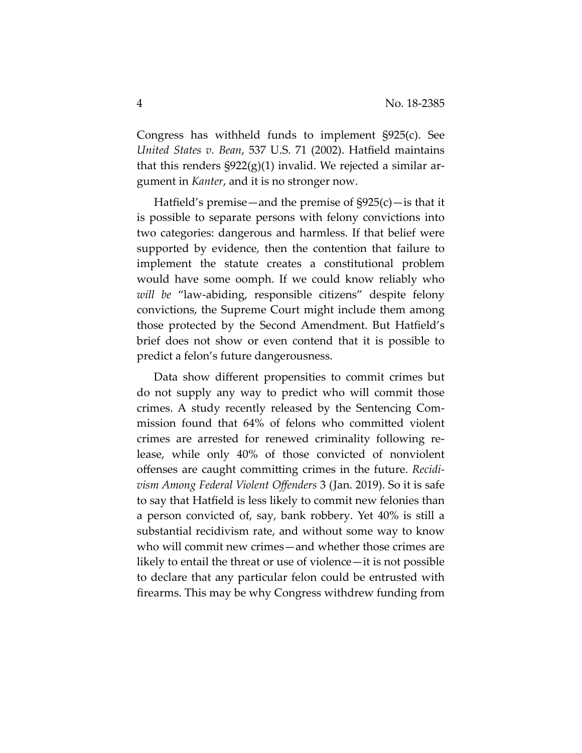Congress has withheld funds to implement §925(c). See *United States v. Bean*, 537 U.S. 71 (2002). Hatfield maintains that this renders  $\S 922(g)(1)$  invalid. We rejected a similar argument in *Kanter*, and it is no stronger now.

Hatfield's premise—and the premise of  $\frac{925(c)}{c}$  is that it is possible to separate persons with felony convictions into two categories: dangerous and harmless. If that belief were supported by evidence, then the contention that failure to implement the statute creates a constitutional problem would have some oomph. If we could know reliably who *will be* "law‐abiding, responsible citizens" despite felony convictions, the Supreme Court might include them among those protected by the Second Amendment. But Hatfield's brief does not show or even contend that it is possible to predict a felon's future dangerousness.

Data show different propensities to commit crimes but do not supply any way to predict who will commit those crimes. A study recently released by the Sentencing Com‐ mission found that 64% of felons who committed violent crimes are arrested for renewed criminality following re‐ lease, while only 40% of those convicted of nonviolent offenses are caught committing crimes in the future. *Recidi‐ vism Among Federal Violent Offenders* 3 (Jan. 2019). So it is safe to say that Hatfield is less likely to commit new felonies than a person convicted of, say, bank robbery. Yet 40% is still a substantial recidivism rate, and without some way to know who will commit new crimes—and whether those crimes are likely to entail the threat or use of violence—it is not possible to declare that any particular felon could be entrusted with firearms. This may be why Congress withdrew funding from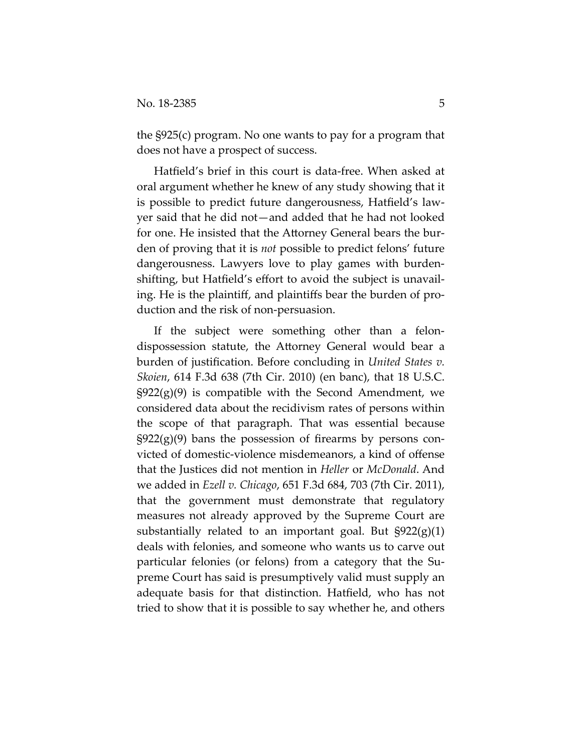the §925(c) program. No one wants to pay for a program that does not have a prospect of success.

Hatfield's brief in this court is data‐free. When asked at oral argument whether he knew of any study showing that it is possible to predict future dangerousness, Hatfield's law‐ yer said that he did not—and added that he had not looked for one. He insisted that the Attorney General bears the bur‐ den of proving that it is *not* possible to predict felons' future dangerousness. Lawyers love to play games with burden‐ shifting, but Hatfield's effort to avoid the subject is unavail‐ ing. He is the plaintiff, and plaintiffs bear the burden of pro‐ duction and the risk of non‐persuasion.

If the subject were something other than a felondispossession statute, the Attorney General would bear a burden of justification. Before concluding in *United States v. Skoien*, 614 F.3d 638 (7th Cir. 2010) (en banc), that 18 U.S.C.  $\S 922(g)(9)$  is compatible with the Second Amendment, we considered data about the recidivism rates of persons within the scope of that paragraph. That was essential because  $\S922(g)(9)$  bans the possession of firearms by persons convicted of domestic‐violence misdemeanors, a kind of offense that the Justices did not mention in *Heller* or *McDonald*. And we added in *Ezell v. Chicago*, 651 F.3d 684, 703 (7th Cir. 2011), that the government must demonstrate that regulatory measures not already approved by the Supreme Court are substantially related to an important goal. But  $\S 922(g)(1)$ deals with felonies, and someone who wants us to carve out particular felonies (or felons) from a category that the Su‐ preme Court has said is presumptively valid must supply an adequate basis for that distinction. Hatfield, who has not tried to show that it is possible to say whether he, and others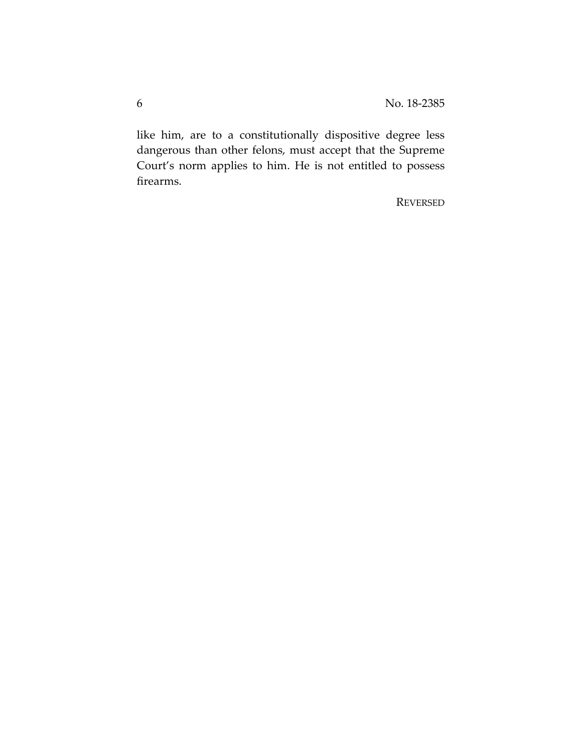like him, are to a constitutionally dispositive degree less dangerous than other felons, must accept that the Supreme Court's norm applies to him. He is not entitled to possess firearms.

REVERSED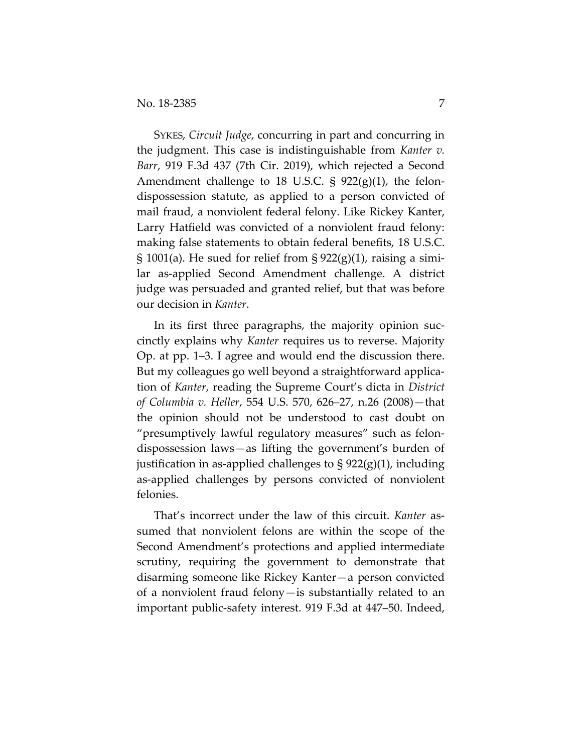SYKES, *Circuit Judge*, concurring in part and concurring in the judgment. This case is indistinguishable from *Kanter v. Barr*, 919 F.3d 437 (7th Cir. 2019), which rejected a Second Amendment challenge to 18 U.S.C.  $\S$  922(g)(1), the felondispossession statute, as applied to a person convicted of mail fraud, a nonviolent federal felony. Like Rickey Kanter, Larry Hatfield was convicted of a nonviolent fraud felony: making false statements to obtain federal benefits, 18 U.S.C. § 1001(a). He sued for relief from §  $922(g)(1)$ , raising a similar as-applied Second Amendment challenge. A district judge was persuaded and granted relief, but that was before our decision in *Kanter*.

In its first three paragraphs, the majority opinion succinctly explains why *Kanter* requires us to reverse. Majority Op. at pp. 1–3. I agree and would end the discussion there. But my colleagues go well beyond a straightforward application of *Kanter*, reading the Supreme Court's dicta in *District of Columbia v. Heller*, 554 U.S. 570, 626–27, n.26 (2008)—that the opinion should not be understood to cast doubt on "presumptively lawful regulatory measures" such as felondispossession laws—as lifting the government's burden of justification in as-applied challenges to  $\S 922(g)(1)$ , including as-applied challenges by persons convicted of nonviolent felonies.

That's incorrect under the law of this circuit. *Kanter* assumed that nonviolent felons are within the scope of the Second Amendment's protections and applied intermediate scrutiny, requiring the government to demonstrate that disarming someone like Rickey Kanter—a person convicted of a nonviolent fraud felony—is substantially related to an important public-safety interest. 919 F.3d at 447–50. Indeed,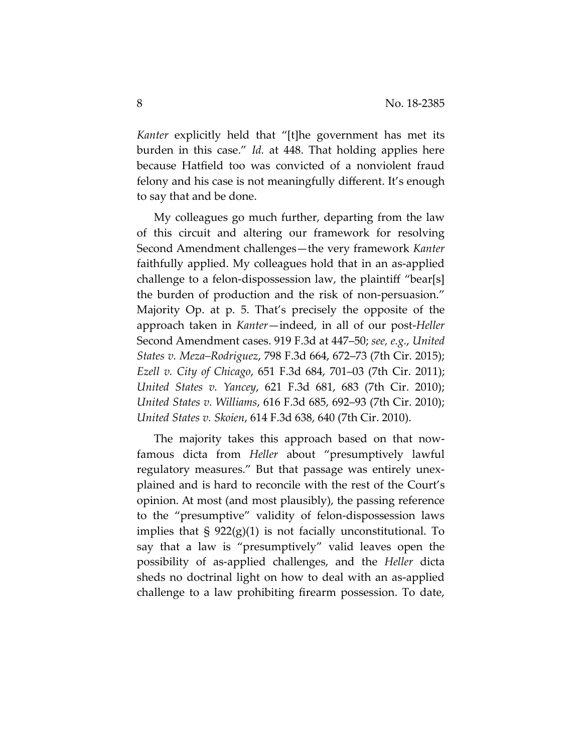*Kanter* explicitly held that "[t]he government has met its burden in this case." *Id.* at 448. That holding applies here because Hatfield too was convicted of a nonviolent fraud felony and his case is not meaningfully different. It's enough to say that and be done.

My colleagues go much further, departing from the law of this circuit and altering our framework for resolving Second Amendment challenges—the very framework *Kanter* faithfully applied. My colleagues hold that in an as-applied challenge to a felon-dispossession law, the plaintiff "bear[s] the burden of production and the risk of non-persuasion." Majority Op. at p. 5. That's precisely the opposite of the approach taken in *Kanter*—indeed, in all of our post-*Heller*  Second Amendment cases. 919 F.3d at 447–50; *see, e.g.*, *United States v. Meza–Rodriguez*, 798 F.3d 664, 672–73 (7th Cir. 2015); *Ezell v. City of Chicago*, 651 F.3d 684, 701–03 (7th Cir. 2011); *United States v. Yancey*, 621 F.3d 681, 683 (7th Cir. 2010); *United States v. Williams*, 616 F.3d 685, 692–93 (7th Cir. 2010); *United States v. Skoien*, 614 F.3d 638, 640 (7th Cir. 2010).

The majority takes this approach based on that nowfamous dicta from *Heller* about "presumptively lawful regulatory measures." But that passage was entirely unexplained and is hard to reconcile with the rest of the Court's opinion. At most (and most plausibly), the passing reference to the "presumptive" validity of felon-dispossession laws implies that  $\S 922(g)(1)$  is not facially unconstitutional. To say that a law is "presumptively" valid leaves open the possibility of as-applied challenges, and the *Heller* dicta sheds no doctrinal light on how to deal with an as-applied challenge to a law prohibiting firearm possession. To date,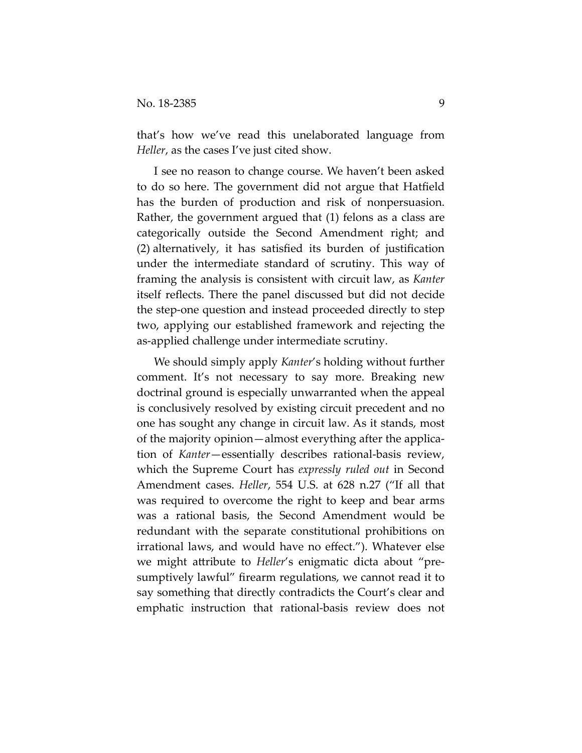that's how we've read this unelaborated language from *Heller*, as the cases I've just cited show.

I see no reason to change course. We haven't been asked to do so here. The government did not argue that Hatfield has the burden of production and risk of nonpersuasion. Rather, the government argued that (1) felons as a class are categorically outside the Second Amendment right; and (2) alternatively, it has satisfied its burden of justification under the intermediate standard of scrutiny. This way of framing the analysis is consistent with circuit law, as *Kanter* itself reflects. There the panel discussed but did not decide the step-one question and instead proceeded directly to step two, applying our established framework and rejecting the as-applied challenge under intermediate scrutiny.

We should simply apply *Kanter*'s holding without further comment. It's not necessary to say more. Breaking new doctrinal ground is especially unwarranted when the appeal is conclusively resolved by existing circuit precedent and no one has sought any change in circuit law. As it stands, most of the majority opinion—almost everything after the application of *Kanter*—essentially describes rational-basis review, which the Supreme Court has *expressly ruled out* in Second Amendment cases. *Heller*, 554 U.S. at 628 n.27 ("If all that was required to overcome the right to keep and bear arms was a rational basis, the Second Amendment would be redundant with the separate constitutional prohibitions on irrational laws, and would have no effect."). Whatever else we might attribute to *Heller*'s enigmatic dicta about "presumptively lawful" firearm regulations, we cannot read it to say something that directly contradicts the Court's clear and emphatic instruction that rational-basis review does not